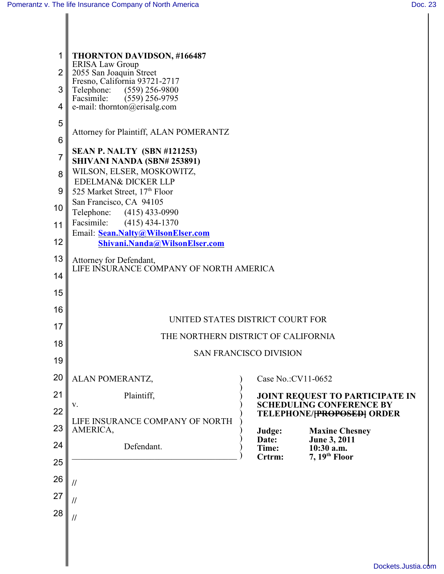$\mathsf{I}$ 

| 1              | THORNTON DAVIDSON, #166487                                                         |                     |                                                                    |  |  |  |
|----------------|------------------------------------------------------------------------------------|---------------------|--------------------------------------------------------------------|--|--|--|
| $\overline{2}$ | <b>ERISA Law Group</b><br>2055 San Joaquin Street<br>Fresno, California 93721-2717 |                     |                                                                    |  |  |  |
| 3              | Telephone: (559) 256-9800                                                          |                     |                                                                    |  |  |  |
|                | Facsimile:<br>$(559)$ 256-9795                                                     |                     |                                                                    |  |  |  |
| 4              | e-mail: thornton@erisalg.com                                                       |                     |                                                                    |  |  |  |
| 5              | Attorney for Plaintiff, ALAN POMERANTZ                                             |                     |                                                                    |  |  |  |
| 6              |                                                                                    |                     |                                                                    |  |  |  |
| 7              | <b>SEAN P. NALTY (SBN #121253)</b>                                                 |                     |                                                                    |  |  |  |
|                | SHIVANI NANDA (SBN# 253891)                                                        |                     |                                                                    |  |  |  |
| 8              | WILSON, ELSER, MOSKOWITZ,<br>EDELMAN& DICKER LLP                                   |                     |                                                                    |  |  |  |
| 9              | 525 Market Street, 17th Floor                                                      |                     |                                                                    |  |  |  |
| 10             | San Francisco, CA 94105                                                            |                     |                                                                    |  |  |  |
|                | Telephone: (415) 433-0990                                                          |                     |                                                                    |  |  |  |
| 11             | Facsimile:<br>$(415)$ 434-1370<br>Email: Sean.Nalty@WilsonElser.com                |                     |                                                                    |  |  |  |
| 12             | Shivani.Nanda@WilsonElser.com                                                      |                     |                                                                    |  |  |  |
| 13             | Attorney for Defendant,                                                            |                     |                                                                    |  |  |  |
| 14             | LIFE INSURANCE COMPANY OF NORTH AMERICA                                            |                     |                                                                    |  |  |  |
| 15             |                                                                                    |                     |                                                                    |  |  |  |
|                |                                                                                    |                     |                                                                    |  |  |  |
| 16             | UNITED STATES DISTRICT COURT FOR                                                   |                     |                                                                    |  |  |  |
| 17             |                                                                                    |                     |                                                                    |  |  |  |
| 18             | THE NORTHERN DISTRICT OF CALIFORNIA                                                |                     |                                                                    |  |  |  |
| 19             | <b>SAN FRANCISCO DIVISION</b>                                                      |                     |                                                                    |  |  |  |
|                |                                                                                    |                     |                                                                    |  |  |  |
| 20             | ALAN POMERANTZ,                                                                    | Case No.: CV11-0652 |                                                                    |  |  |  |
| 21             | Plaintiff,                                                                         |                     | JOINT REQUEST TO PARTICIPATE IN<br><b>SCHEDULING CONFERENCE BY</b> |  |  |  |
| 22             | V.                                                                                 |                     | <b>TELEPHONE/<del>[PROPOSED]</del> ORDER</b>                       |  |  |  |
| 23             | LIFE INSURANCE COMPANY OF NORTH<br>AMERICA,                                        | Judge:              | <b>Maxine Chesney</b>                                              |  |  |  |
| 24             |                                                                                    | Date:               | June 3, 2011                                                       |  |  |  |
|                | Defendant.                                                                         | Time:<br>Crtrm:     | 10:30 a.m.<br>$7, 19th$ Floor                                      |  |  |  |
| 25             |                                                                                    |                     |                                                                    |  |  |  |
| 26             | $\frac{1}{2}$                                                                      |                     |                                                                    |  |  |  |
| 27             | //                                                                                 |                     |                                                                    |  |  |  |
| 28             |                                                                                    |                     |                                                                    |  |  |  |
|                | $\frac{1}{2}$                                                                      |                     |                                                                    |  |  |  |
|                |                                                                                    |                     |                                                                    |  |  |  |
|                |                                                                                    |                     |                                                                    |  |  |  |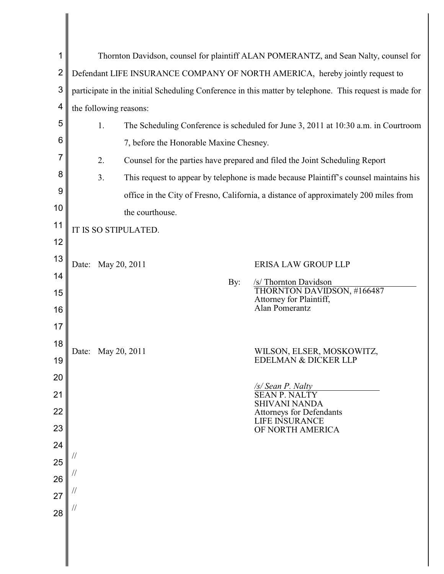| 1        | Thornton Davidson, counsel for plaintiff ALAN POMERANTZ, and Sean Nalty, counsel for                   |                                                                                       |                                                         |  |  |  |
|----------|--------------------------------------------------------------------------------------------------------|---------------------------------------------------------------------------------------|---------------------------------------------------------|--|--|--|
| 2        | Defendant LIFE INSURANCE COMPANY OF NORTH AMERICA, hereby jointly request to                           |                                                                                       |                                                         |  |  |  |
| 3        | participate in the initial Scheduling Conference in this matter by telephone. This request is made for |                                                                                       |                                                         |  |  |  |
| 4        | the following reasons:                                                                                 |                                                                                       |                                                         |  |  |  |
| 5        | 1.<br>The Scheduling Conference is scheduled for June 3, 2011 at 10:30 a.m. in Courtroom               |                                                                                       |                                                         |  |  |  |
| 6        | 7, before the Honorable Maxine Chesney.                                                                |                                                                                       |                                                         |  |  |  |
| 7        | 2.                                                                                                     | Counsel for the parties have prepared and filed the Joint Scheduling Report           |                                                         |  |  |  |
| 8        | 3.                                                                                                     | This request to appear by telephone is made because Plaintiff's counsel maintains his |                                                         |  |  |  |
| 9        | office in the City of Fresno, California, a distance of approximately 200 miles from                   |                                                                                       |                                                         |  |  |  |
| 10       | the courthouse.                                                                                        |                                                                                       |                                                         |  |  |  |
| 11       | IT IS SO STIPULATED.                                                                                   |                                                                                       |                                                         |  |  |  |
| 12       |                                                                                                        |                                                                                       |                                                         |  |  |  |
| 13       | May 20, 2011<br>Date:                                                                                  |                                                                                       | <b>ERISA LAW GROUP LLP</b>                              |  |  |  |
| 14       |                                                                                                        | By:                                                                                   | /s/ Thornton Davidson                                   |  |  |  |
| 15       |                                                                                                        |                                                                                       | THORNTON DAVIDSON, #166487<br>Attorney for Plaintiff,   |  |  |  |
| 16       |                                                                                                        |                                                                                       | Alan Pomerantz                                          |  |  |  |
| 17       |                                                                                                        |                                                                                       |                                                         |  |  |  |
| 18<br>19 | May 20, 2011<br>Date:                                                                                  |                                                                                       | WILSON, ELSER, MOSKOWITZ,                               |  |  |  |
| 20       | EDELMAN & DICKER LLP                                                                                   |                                                                                       |                                                         |  |  |  |
| 21       |                                                                                                        |                                                                                       | /s/ Sean P. Nalty<br><b>SEANP.</b><br><b>NALTY</b>      |  |  |  |
| 22       |                                                                                                        |                                                                                       | <b>SHIVANI NANDA</b><br><b>Attorneys for Defendants</b> |  |  |  |
| 23       |                                                                                                        |                                                                                       | LIFE INSURANCE<br>OF NORTH AMERICA                      |  |  |  |
| 24       |                                                                                                        |                                                                                       |                                                         |  |  |  |
| 25       |                                                                                                        |                                                                                       |                                                         |  |  |  |
| 26       |                                                                                                        |                                                                                       |                                                         |  |  |  |
| 27       |                                                                                                        |                                                                                       |                                                         |  |  |  |
| 28       |                                                                                                        |                                                                                       |                                                         |  |  |  |
|          |                                                                                                        |                                                                                       |                                                         |  |  |  |
|          |                                                                                                        |                                                                                       |                                                         |  |  |  |
|          |                                                                                                        |                                                                                       |                                                         |  |  |  |

 $\mathsf{I}$